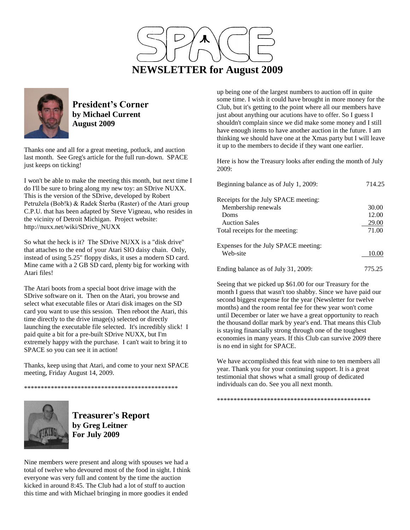



**President's Corner by Michael Current August 2009**

Thanks one and all for a great meeting, potluck, and auction last month. See Greg's article for the full run-down. SPACE just keeps on ticking!

I won't be able to make the meeting this month, but next time I do I'll be sure to bring along my new toy: an SDrive NUXX. This is the version of the SDrive, developed by Robert Petružela (Bob!k) & Radek Šterba (Raster) of the Atari group C.P.U. that has been adapted by Steve Vigneau, who resides in the vicinity of Detroit Michigan. Project website: http://nuxx.net/wiki/SDrive\_NUXX

So what the heck is it? The SDrive NUXX is a "disk drive" that attaches to the end of your Atari SIO daisy chain. Only, instead of using 5.25" floppy disks, it uses a modern SD card. Mine came with a 2 GB SD card, plenty big for working with Atari files!

The Atari boots from a special boot drive image with the SDrive software on it. Then on the Atari, you browse and select what executable files or Atari disk images on the SD card you want to use this session. Then reboot the Atari, this time directly to the drive image(s) selected or directly launching the executable file selected. It's incredibly slick! I paid quite a bit for a pre-built SDrive NUXX, but I'm extremely happy with the purchase. I can't wait to bring it to SPACE so you can see it in action!

Thanks, keep using that Atari, and come to your next SPACE meeting, Friday August 14, 2009.

\*\*\*\*\*\*\*\*\*\*\*\*\*\*\*\*\*\*\*\*\*\*\*\*\*\*\*\*\*\*\*\*\*\*\*\*\*\*\*\*\*\*\*\*\*\*



**Treasurer's Report by Greg Leitner For July 2009**

Nine members were present and along with spouses we had a total of twelve who devoured most of the food in sight. I think everyone was very full and content by the time the auction kicked in around 8:45. The Club had a lot of stuff to auction this time and with Michael bringing in more goodies it ended

up being one of the largest numbers to auction off in quite some time. I wish it could have brought in more money for the Club, but it's getting to the point where all our members have just about anything our acutions have to offer. So I guess I shouldn't complain since we did make some money and I still have enough items to have another auction in the future. I am thinking we should have one at the Xmas party but I will leave it up to the members to decide if they want one earlier.

Here is how the Treasury looks after ending the month of July 2009:

| Beginning balance as of July 1, 2009: | 714.25 |
|---------------------------------------|--------|
| Receipts for the July SPACE meeting:  |        |
| Membership renewals                   | 30.00  |
| Doms                                  | 12.00  |
| <b>Auction Sales</b>                  | 29.00  |
| Total receipts for the meeting:       | 71.00  |
| Expenses for the July SPACE meeting:  |        |
| Web-site                              | 10.00  |
| Ending balance as of July 31, 2009:   | 775.25 |

Seeing that we picked up \$61.00 for our Treasury for the month I guess that wasn't too shabby. Since we have paid our second biggest expense for the year (Newsletter for twelve months) and the room rental fee for thew year won't come until December or later we have a great opportunity to reach the thousand dollar mark by year's end. That means this Club is staying financially strong through one of the toughest economies in many years. If this Club can survive 2009 there is no end in sight for SPACE.

We have accomplished this feat with nine to ten members all year. Thank you for your continuing support. It is a great testimonial that shows what a small group of dedicated individuals can do. See you all next month.

\*\*\*\*\*\*\*\*\*\*\*\*\*\*\*\*\*\*\*\*\*\*\*\*\*\*\*\*\*\*\*\*\*\*\*\*\*\*\*\*\*\*\*\*\*\*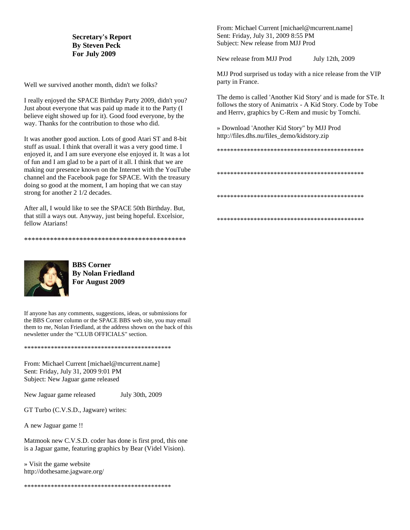#### **Secretary's Report By Steven Peck For July 2009**

Well we survived another month, didn't we folks?

I really enjoyed the SPACE Birthday Party 2009, didn't you? Just about everyone that was paid up made it to the Party (I believe eight showed up for it). Good food everyone, by the way. Thanks for the contribution to those who did.

It was another good auction. Lots of good Atari ST and 8-bit stuff as usual. I think that overall it was a very good time. I enjoyed it, and I am sure everyone else enjoyed it. It was a lot of fun and I am glad to be a part of it all. I think that we are making our presence known on the Internet with the YouTube channel and the Facebook page for SPACE. With the treasury doing so good at the moment, I am hoping that we can stay strong for another 2 1/2 decades.

After all, I would like to see the SPACE 50th Birthday. But, that still a ways out. Anyway, just being hopeful. Excelsior, fellow Atarians!

\*\*\*\*\*\*\*\*\*\*\*\*\*\*\*\*\*\*\*\*\*\*\*\*\*\*\*\*\*\*\*\*\*\*\*\*\*\*\*\*\*\*\*\*



**BBS Corner By Nolan Friedland For August 2009**

If anyone has any comments, suggestions, ideas, or submissions for the BBS Corner column or the SPACE BBS web site, you may email them to me, Nolan Friedland, at the address shown on the back of this newsletter under the "CLUB OFFICIALS" section.

\*\*\*\*\*\*\*\*\*\*\*\*\*\*\*\*\*\*\*\*\*\*\*\*\*\*\*\*\*\*\*\*\*\*\*\*\*\*\*\*\*\*\*\*

From: Michael Current [michael@mcurrent.name] Sent: Friday, July 31, 2009 9:01 PM Subject: New Jaguar game released

New Jaguar game released July 30th, 2009

GT Turbo (C.V.S.D., Jagware) writes:

A new Jaguar game !!

Matmook new C.V.S.D. coder has done is first prod, this one is a Jaguar game, featuring graphics by Bear (Videl Vision).

» Visit the game website http://dothesame.jagware.org/

\*\*\*\*\*\*\*\*\*\*\*\*\*\*\*\*\*\*\*\*\*\*\*\*\*\*\*\*\*\*\*\*\*\*\*\*\*\*\*\*\*\*\*\*

From: Michael Current [michael@mcurrent.name] Sent: Friday, July 31, 2009 8:55 PM Subject: New release from MJJ Prod

New release from MJJ Prod July 12th, 2009

MJJ Prod surprised us today with a nice release from the VIP party in France.

The demo is called 'Another Kid Story' and is made for STe. It follows the story of Animatrix - A Kid Story. Code by Tobe and Herrv, graphics by C-Rem and music by Tomchi.

» Download 'Another Kid Story" by MJJ Prod http://files.dhs.nu/files\_demo/kidstory.zip

\*\*\*\*\*\*\*\*\*\*\*\*\*\*\*\*\*\*\*\*\*\*\*\*\*\*\*\*\*\*\*\*\*\*\*\*\*\*\*\*\*\*\*\*

\*\*\*\*\*\*\*\*\*\*\*\*\*\*\*\*\*\*\*\*\*\*\*\*\*\*\*\*\*\*\*\*\*\*\*\*\*\*\*\*\*\*\*\*

\*\*\*\*\*\*\*\*\*\*\*\*\*\*\*\*\*\*\*\*\*\*\*\*\*\*\*\*\*\*\*\*\*\*\*\*\*\*\*\*\*\*\*\*

\*\*\*\*\*\*\*\*\*\*\*\*\*\*\*\*\*\*\*\*\*\*\*\*\*\*\*\*\*\*\*\*\*\*\*\*\*\*\*\*\*\*\*\*